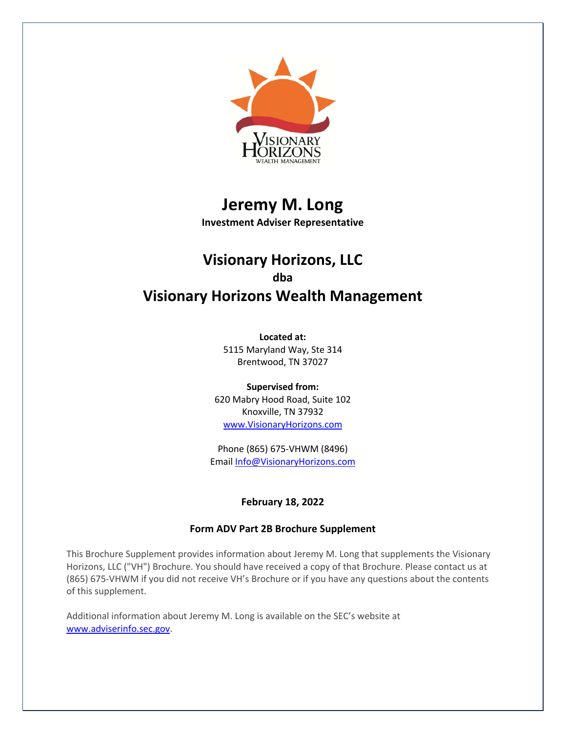

# **Jeremy M. Long**

**Investment Adviser Representative**

## **Visionary Horizons, LLC dba Visionary Horizons Wealth Management**

**Located at:** 5115 Maryland Way, Ste 314 Brentwood, TN 37027

**Supervised from:** 620 Mabry Hood Road, Suite 102 Knoxville, TN 37932 www.VisionaryHorizons.com

Phone (865) 675-VHWM (8496) Email Info@VisionaryHorizons.com

## **February 18, 2022**

## **Form ADV Part 2B Brochure Supplement**

This Brochure Supplement provides information about Jeremy M. Long that supplements the Visionary Horizons, LLC ("VH") Brochure. You should have received a copy of that Brochure. Please contact us at (865) 675-VHWM if you did not receive VH's Brochure or if you have any questions about the contents of this supplement.

Additional information about Jeremy M. Long is available on the SEC's website at www.adviserinfo.sec.gov.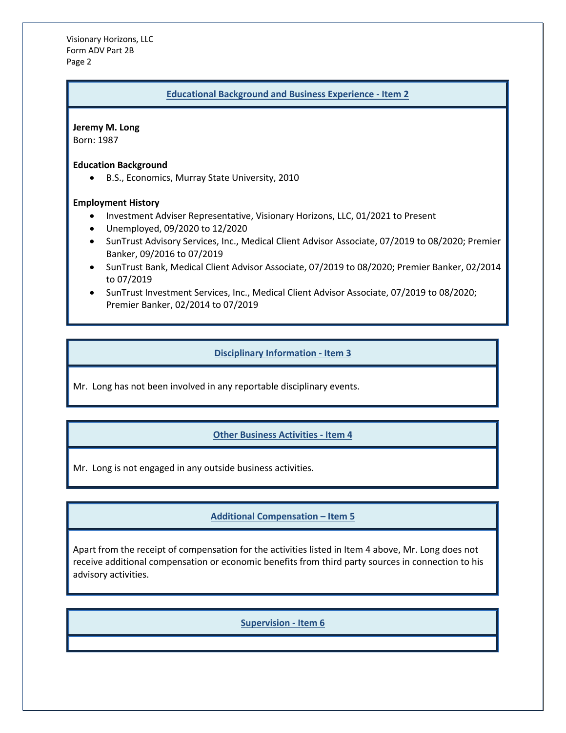Visionary Horizons, LLC Form ADV Part 2B Page 2

#### **Educational Background and Business Experience - Item 2**

**Jeremy M. Long** Born: 1987

#### **Education Background**

• B.S., Economics, Murray State University, 2010

#### **Employment History**

- Investment Adviser Representative, Visionary Horizons, LLC, 01/2021 to Present
- Unemployed, 09/2020 to 12/2020
- SunTrust Advisory Services, Inc., Medical Client Advisor Associate, 07/2019 to 08/2020; Premier Banker, 09/2016 to 07/2019
- SunTrust Bank, Medical Client Advisor Associate, 07/2019 to 08/2020; Premier Banker, 02/2014 to 07/2019
- SunTrust Investment Services, Inc., Medical Client Advisor Associate, 07/2019 to 08/2020; Premier Banker, 02/2014 to 07/2019

#### **Disciplinary Information - Item 3**

Mr. Long has not been involved in any reportable disciplinary events.

## **Other Business Activities - Item 4**

Mr. Long is not engaged in any outside business activities.

## **Additional Compensation – Item 5**

Apart from the receipt of compensation for the activities listed in Item 4 above, Mr. Long does not receive additional compensation or economic benefits from third party sources in connection to his advisory activities.

#### **Supervision - Item 6**